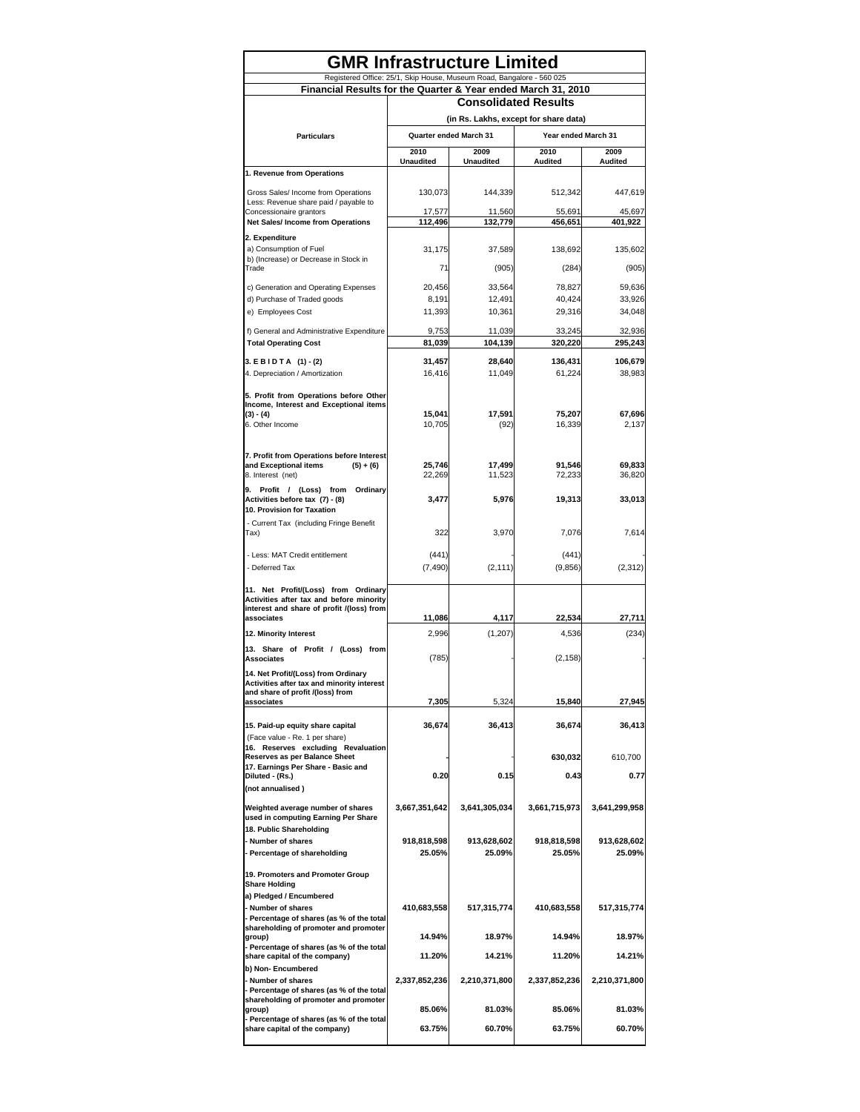| <b>GMR Infrastructure Limited</b>                                                  |                                                                                               |                                                                       |                   |                   |  |  |  |
|------------------------------------------------------------------------------------|-----------------------------------------------------------------------------------------------|-----------------------------------------------------------------------|-------------------|-------------------|--|--|--|
|                                                                                    |                                                                                               | Registered Office: 25/1, Skip House, Museum Road, Bangalore - 560 025 |                   |                   |  |  |  |
| Financial Results for the Quarter & Year ended March 31, 2010                      |                                                                                               |                                                                       |                   |                   |  |  |  |
|                                                                                    | <b>Consolidated Results</b>                                                                   |                                                                       |                   |                   |  |  |  |
| <b>Particulars</b>                                                                 | (in Rs. Lakhs, except for share data)<br><b>Quarter ended March 31</b><br>Year ended March 31 |                                                                       |                   |                   |  |  |  |
|                                                                                    | 2010                                                                                          | 2009                                                                  | 2010              | 2009              |  |  |  |
|                                                                                    | <b>Unaudited</b>                                                                              | <b>Unaudited</b>                                                      | Audited           | Audited           |  |  |  |
| 1. Revenue from Operations                                                         |                                                                                               |                                                                       |                   |                   |  |  |  |
| Gross Sales/ Income from Operations                                                | 130,073                                                                                       | 144,339                                                               | 512,342           | 447,619           |  |  |  |
| Less: Revenue share paid / payable to<br>Concessionaire grantors                   | 17,577                                                                                        | 11,560                                                                | 55,691            | 45,697            |  |  |  |
| Net Sales/ Income from Operations                                                  | 112,496                                                                                       | 132,779                                                               | 456,651           | 401,922           |  |  |  |
| 2. Expenditure                                                                     |                                                                                               |                                                                       |                   |                   |  |  |  |
| a) Consumption of Fuel<br>b) (Increase) or Decrease in Stock in                    | 31,175                                                                                        | 37,589                                                                | 138,692           | 135,602           |  |  |  |
| Trade                                                                              | 71                                                                                            | (905)                                                                 | (284)             | (905)             |  |  |  |
| c) Generation and Operating Expenses                                               | 20,456                                                                                        | 33,564                                                                | 78,827            | 59,636            |  |  |  |
| d) Purchase of Traded goods                                                        | 8,191                                                                                         | 12,491                                                                | 40,424            | 33,926            |  |  |  |
| e) Employees Cost                                                                  | 11,393                                                                                        | 10,361                                                                | 29,316            | 34,048            |  |  |  |
| f) General and Administrative Expenditure                                          | 9,753                                                                                         | 11,039                                                                | 33,245<br>320,220 | 32,936<br>295,243 |  |  |  |
| <b>Total Operating Cost</b>                                                        | 81,039                                                                                        | 104,139                                                               |                   |                   |  |  |  |
| 3. EBIDTA (1) - (2)<br>4. Depreciation / Amortization                              | 31,457<br>16,416                                                                              | 28,640<br>11,049                                                      | 136,431<br>61,224 | 106.679<br>38,983 |  |  |  |
|                                                                                    |                                                                                               |                                                                       |                   |                   |  |  |  |
| 5. Profit from Operations before Other<br>Income, Interest and Exceptional items   |                                                                                               |                                                                       |                   |                   |  |  |  |
| $(3) - (4)$                                                                        | 15,041                                                                                        | 17,591                                                                | 75,207            | 67,696            |  |  |  |
| 6. Other Income                                                                    | 10,705                                                                                        | (92)                                                                  | 16,339            | 2,137             |  |  |  |
|                                                                                    |                                                                                               |                                                                       |                   |                   |  |  |  |
| 7. Profit from Operations before Interest<br>and Exceptional items<br>$(5) + (6)$  | 25,746                                                                                        | 17,499                                                                | 91,546            | 69,833            |  |  |  |
| 8. Interest (net)                                                                  | 22,269                                                                                        | 11,523                                                                | 72,233            | 36,820            |  |  |  |
| 9. Profit / (Loss) from Ordinary<br>Activities before tax (7) - (8)                | 3,477                                                                                         | 5,976                                                                 | 19,313            | 33,013            |  |  |  |
| 10. Provision for Taxation                                                         |                                                                                               |                                                                       |                   |                   |  |  |  |
| - Current Tax (including Fringe Benefit<br>Tax)                                    | 322                                                                                           | 3,970                                                                 | 7,076             | 7,614             |  |  |  |
|                                                                                    |                                                                                               |                                                                       |                   |                   |  |  |  |
| - Less: MAT Credit entitlement<br>- Deferred Tax                                   | (441)<br>(7, 490)                                                                             | (2, 111)                                                              | (441)<br>(9,856)  | (2, 312)          |  |  |  |
|                                                                                    |                                                                                               |                                                                       |                   |                   |  |  |  |
| 11. Net Profit/(Loss) from Ordinary<br>Activities after tax and before minority    |                                                                                               |                                                                       |                   |                   |  |  |  |
| interest and share of profit /(loss) from                                          |                                                                                               |                                                                       |                   |                   |  |  |  |
| associates<br>12. Minority Interest                                                | 11,086<br>2,996                                                                               | 4,117<br>(1, 207)                                                     | 22,534<br>4,536   | 27,711<br>(234)   |  |  |  |
| 13. Share of Profit / (Loss) from                                                  |                                                                                               |                                                                       |                   |                   |  |  |  |
| <b>Associates</b>                                                                  | (785)                                                                                         |                                                                       | (2, 158)          |                   |  |  |  |
| 14. Net Profit/(Loss) from Ordinary                                                |                                                                                               |                                                                       |                   |                   |  |  |  |
| Activities after tax and minority interest<br>and share of profit /(loss) from     |                                                                                               |                                                                       |                   |                   |  |  |  |
| associates                                                                         | 7,305                                                                                         | 5,324                                                                 | 15,840            | 27,945            |  |  |  |
| 15. Paid-up equity share capital                                                   | 36,674                                                                                        | 36,413                                                                | 36,674            | 36,413            |  |  |  |
| (Face value - Re. 1 per share)<br>16. Reserves excluding Revaluation               |                                                                                               |                                                                       |                   |                   |  |  |  |
| Reserves as per Balance Sheet                                                      |                                                                                               |                                                                       | 630,032           | 610,700           |  |  |  |
| 17. Earnings Per Share - Basic and<br>Diluted - (Rs.)                              | 0.20                                                                                          | 0.15                                                                  | 0.43              | 0.77              |  |  |  |
| (not annualised)                                                                   |                                                                                               |                                                                       |                   |                   |  |  |  |
| Weighted average number of shares                                                  | 3,667,351,642                                                                                 | 3,641,305,034                                                         | 3,661,715,973     | 3,641,299,958     |  |  |  |
| used in computing Earning Per Share<br>18. Public Shareholding                     |                                                                                               |                                                                       |                   |                   |  |  |  |
| - Number of shares                                                                 | 918,818,598                                                                                   | 913,628,602                                                           | 918,818,598       | 913,628,602       |  |  |  |
| - Percentage of shareholding                                                       | 25.05%                                                                                        | 25.09%                                                                | 25.05%            | 25.09%            |  |  |  |
| 19. Promoters and Promoter Group                                                   |                                                                                               |                                                                       |                   |                   |  |  |  |
| <b>Share Holding</b><br>a) Pledged / Encumbered                                    |                                                                                               |                                                                       |                   |                   |  |  |  |
| - Number of shares                                                                 | 410,683,558                                                                                   | 517,315,774                                                           | 410,683,558       | 517,315,774       |  |  |  |
| - Percentage of shares (as % of the total<br>shareholding of promoter and promoter |                                                                                               |                                                                       |                   |                   |  |  |  |
| group)                                                                             | 14.94%                                                                                        | 18.97%                                                                | 14.94%            | 18.97%            |  |  |  |
| - Percentage of shares (as % of the total<br>share capital of the company)         | 11.20%                                                                                        | 14.21%                                                                | 11.20%            | 14.21%            |  |  |  |
| b) Non-Encumbered                                                                  |                                                                                               |                                                                       |                   |                   |  |  |  |
| - Number of shares<br>- Percentage of shares (as % of the total                    | 2,337,852,236                                                                                 | 2,210,371,800                                                         | 2,337,852,236     | 2,210,371,800     |  |  |  |
| shareholding of promoter and promoter<br>group)                                    | 85.06%                                                                                        | 81.03%                                                                | 85.06%            | 81.03%            |  |  |  |
| - Percentage of shares (as % of the total                                          |                                                                                               |                                                                       |                   |                   |  |  |  |
| share capital of the company)                                                      | 63.75%                                                                                        | 60.70%                                                                | 63.75%            | 60.70%            |  |  |  |
|                                                                                    |                                                                                               |                                                                       |                   |                   |  |  |  |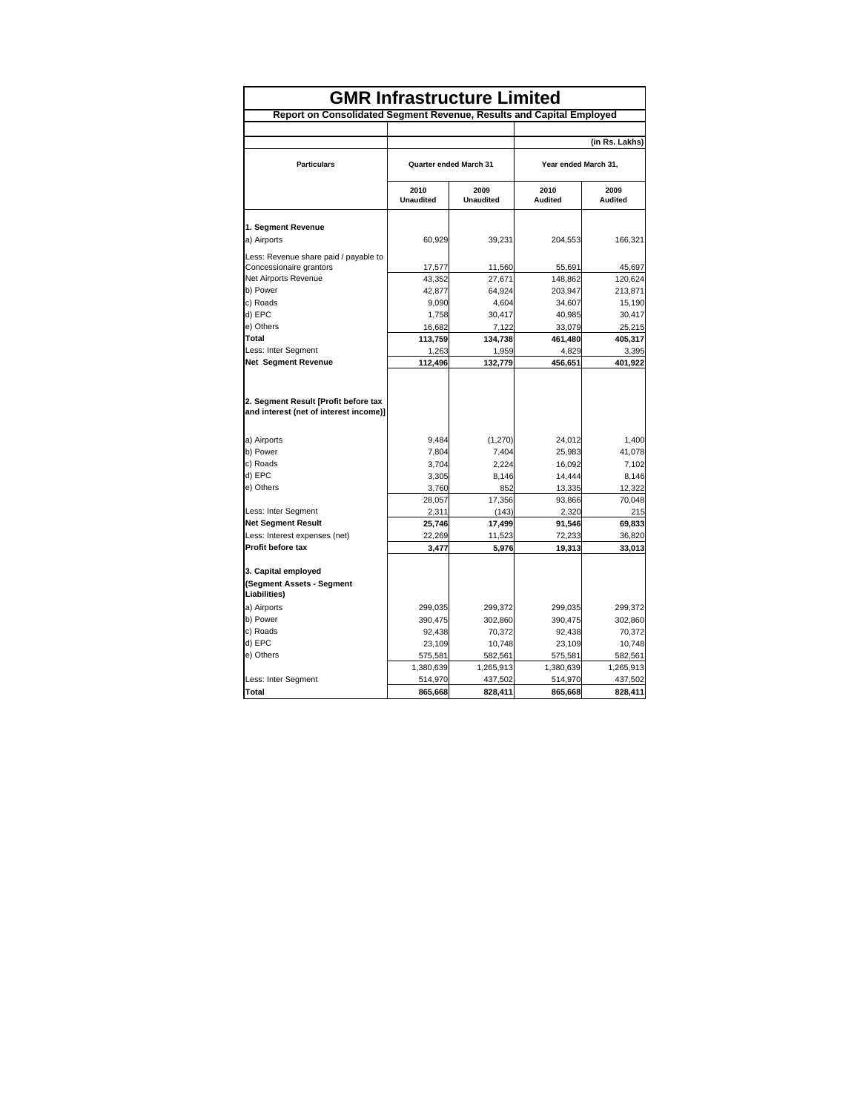| <b>GMR Infrastructure Limited</b>                                              |                               |                          |                        |                 |  |  |  |  |
|--------------------------------------------------------------------------------|-------------------------------|--------------------------|------------------------|-----------------|--|--|--|--|
| Report on Consolidated Segment Revenue, Results and Capital Employed           |                               |                          |                        |                 |  |  |  |  |
|                                                                                |                               |                          |                        | (in Rs. Lakhs)  |  |  |  |  |
|                                                                                |                               |                          |                        |                 |  |  |  |  |
| <b>Particulars</b>                                                             | <b>Quarter ended March 31</b> |                          | Year ended March 31.   |                 |  |  |  |  |
|                                                                                | 2010<br><b>Unaudited</b>      | 2009<br><b>Unaudited</b> | 2010<br><b>Audited</b> | 2009<br>Audited |  |  |  |  |
| 1. Segment Revenue                                                             |                               |                          |                        |                 |  |  |  |  |
| a) Airports                                                                    | 60,929                        | 39,231                   | 204,553                | 166,321         |  |  |  |  |
| Less: Revenue share paid / payable to                                          |                               |                          |                        |                 |  |  |  |  |
| Concessionaire grantors                                                        | 17,577                        | 11,560                   | 55,691                 | 45,697          |  |  |  |  |
| Net Airports Revenue                                                           | 43,352                        | 27,671                   | 148,862                | 120,624         |  |  |  |  |
| b) Power                                                                       | 42,877                        | 64,924                   | 203,947                | 213,871         |  |  |  |  |
| c) Roads                                                                       | 9,090                         | 4,604                    | 34,607                 | 15,190          |  |  |  |  |
| d) EPC                                                                         | 1,758                         | 30,417                   | 40,985                 | 30,417          |  |  |  |  |
| e) Others                                                                      | 16,682                        | 7,122                    | 33,079                 | 25,215          |  |  |  |  |
| Total                                                                          | 113,759                       | 134,738                  | 461,480                | 405,317         |  |  |  |  |
| Less: Inter Segment                                                            | 1,263                         | 1,959                    | 4,829                  | 3,395           |  |  |  |  |
| <b>Net Segment Revenue</b>                                                     | 112,496                       | 132,779                  | 456,651                | 401,922         |  |  |  |  |
| 2. Segment Result [Profit before tax<br>and interest (net of interest income)] |                               |                          |                        |                 |  |  |  |  |
| a) Airports                                                                    | 9,484                         | (1, 270)                 | 24,012                 | 1,400           |  |  |  |  |
| b) Power                                                                       | 7,804                         | 7,404                    | 25,983                 | 41,078          |  |  |  |  |
| c) Roads                                                                       | 3,704                         | 2.224                    | 16,092                 | 7,102           |  |  |  |  |
| d) EPC                                                                         | 3,305                         | 8,146                    | 14,444                 | 8,146           |  |  |  |  |
| e) Others                                                                      | 3,760                         | 852                      | 13,335                 | 12,322          |  |  |  |  |
|                                                                                | 28,057                        | 17,356                   | 93,866                 | 70,048          |  |  |  |  |
| Less: Inter Segment                                                            | 2,311                         | (143)                    | 2,320                  | 215             |  |  |  |  |
| <b>Net Segment Result</b>                                                      | 25,746                        | 17,499                   | 91,546                 | 69,833          |  |  |  |  |
| Less: Interest expenses (net)                                                  | 22,269                        | 11,523                   | 72,233                 | 36,820          |  |  |  |  |
| Profit before tax                                                              | 3,477                         | 5,976                    | 19,313                 | 33,013          |  |  |  |  |
| 3. Capital employed                                                            |                               |                          |                        |                 |  |  |  |  |
| (Segment Assets - Segment<br>Liabilities)                                      |                               |                          |                        |                 |  |  |  |  |
| a) Airports                                                                    | 299,035                       | 299,372                  | 299,035                | 299,372         |  |  |  |  |
| b) Power                                                                       | 390,475                       | 302,860                  | 390,475                | 302,860         |  |  |  |  |
| c) Roads                                                                       | 92,438                        | 70,372                   | 92,438                 | 70,372          |  |  |  |  |
| d) EPC                                                                         | 23,109                        | 10,748                   | 23,109                 | 10,748          |  |  |  |  |
| e) Others                                                                      | 575,581                       | 582,561                  | 575,581                | 582,561         |  |  |  |  |
|                                                                                | 1,380,639                     | 1,265,913                | 1,380,639              | 1,265,913       |  |  |  |  |
| Less: Inter Segment                                                            | 514,970                       | 437,502                  | 514,970                | 437,502         |  |  |  |  |
| <b>Total</b>                                                                   | 865,668                       | 828,411                  | 865,668                | 828,411         |  |  |  |  |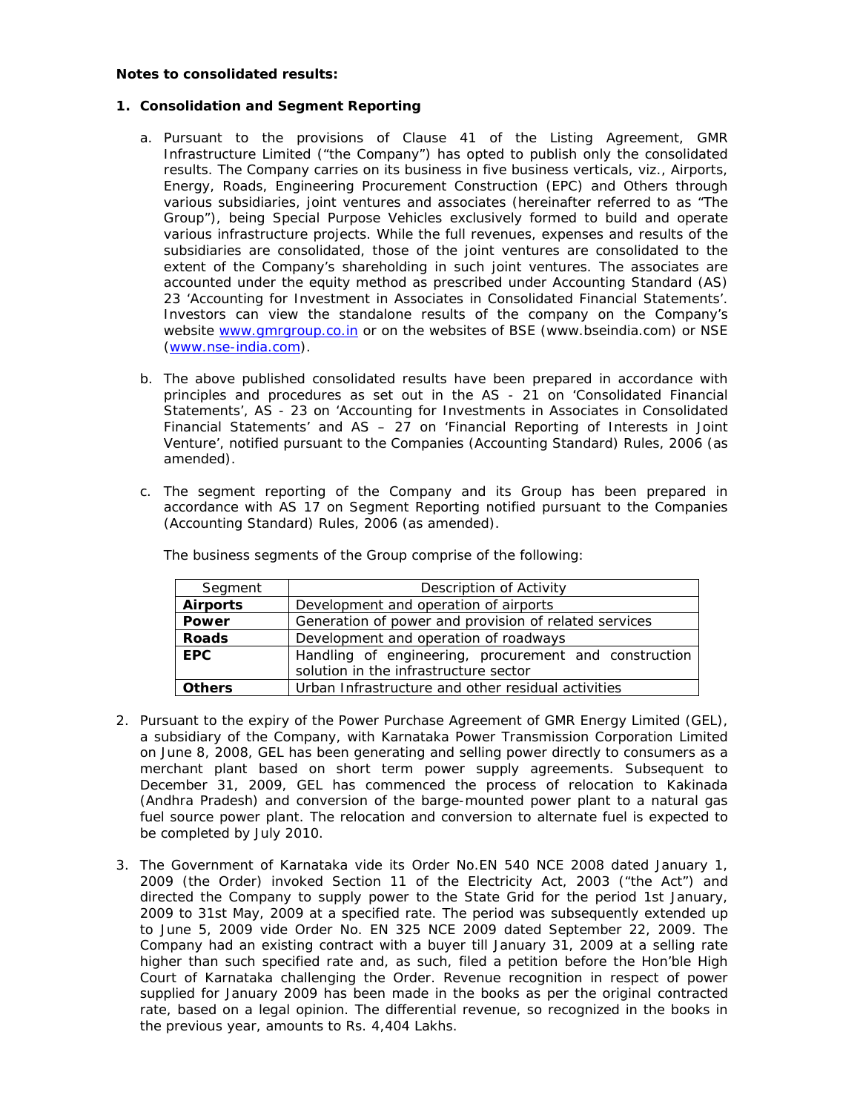## **Notes to consolidated results:**

## **1. Consolidation and Segment Reporting**

- a. Pursuant to the provisions of Clause 41 of the Listing Agreement, GMR Infrastructure Limited ("the Company") has opted to publish only the consolidated results. The Company carries on its business in five business verticals, viz., Airports, Energy, Roads, Engineering Procurement Construction (EPC) and Others through various subsidiaries, joint ventures and associates (hereinafter referred to as "The Group"), being Special Purpose Vehicles exclusively formed to build and operate various infrastructure projects. While the full revenues, expenses and results of the subsidiaries are consolidated, those of the joint ventures are consolidated to the extent of the Company's shareholding in such joint ventures. The associates are accounted under the equity method as prescribed under Accounting Standard (AS) 23 'Accounting for Investment in Associates in Consolidated Financial Statements'. Investors can view the standalone results of the company on the Company's website www.gmrgroup.co.in or on the websites of BSE (www.bseindia.com) or NSE (www.nse-india.com).
- b. The above published consolidated results have been prepared in accordance with principles and procedures as set out in the AS - 21 on 'Consolidated Financial Statements', AS - 23 on 'Accounting for Investments in Associates in Consolidated Financial Statements' and AS – 27 on 'Financial Reporting of Interests in Joint Venture', notified pursuant to the Companies (Accounting Standard) Rules, 2006 (as amended).
- c. The segment reporting of the Company and its Group has been prepared in accordance with AS 17 on Segment Reporting notified pursuant to the Companies (Accounting Standard) Rules, 2006 (as amended).

| Segment         | Description of Activity                               |  |  |
|-----------------|-------------------------------------------------------|--|--|
| <b>Airports</b> | Development and operation of airports                 |  |  |
| Power           | Generation of power and provision of related services |  |  |
| <b>Roads</b>    | Development and operation of roadways                 |  |  |
| <b>EPC</b>      | Handling of engineering, procurement and construction |  |  |
|                 | solution in the infrastructure sector                 |  |  |
| <b>Others</b>   | Urban Infrastructure and other residual activities    |  |  |

The business segments of the Group comprise of the following:

- 2. Pursuant to the expiry of the Power Purchase Agreement of GMR Energy Limited (GEL), a subsidiary of the Company, with Karnataka Power Transmission Corporation Limited on June 8, 2008, GEL has been generating and selling power directly to consumers as a merchant plant based on short term power supply agreements. Subsequent to December 31, 2009, GEL has commenced the process of relocation to Kakinada (Andhra Pradesh) and conversion of the barge-mounted power plant to a natural gas fuel source power plant. The relocation and conversion to alternate fuel is expected to be completed by July 2010.
- 3. The Government of Karnataka vide its Order No.EN 540 NCE 2008 dated January 1, 2009 (the Order) invoked Section 11 of the Electricity Act, 2003 ("the Act") and directed the Company to supply power to the State Grid for the period 1st January, 2009 to 31st May, 2009 at a specified rate. The period was subsequently extended up to June 5, 2009 vide Order No. EN 325 NCE 2009 dated September 22, 2009. The Company had an existing contract with a buyer till January 31, 2009 at a selling rate higher than such specified rate and, as such, filed a petition before the Hon'ble High Court of Karnataka challenging the Order. Revenue recognition in respect of power supplied for January 2009 has been made in the books as per the original contracted rate, based on a legal opinion. The differential revenue, so recognized in the books in the previous year, amounts to Rs. 4,404 Lakhs.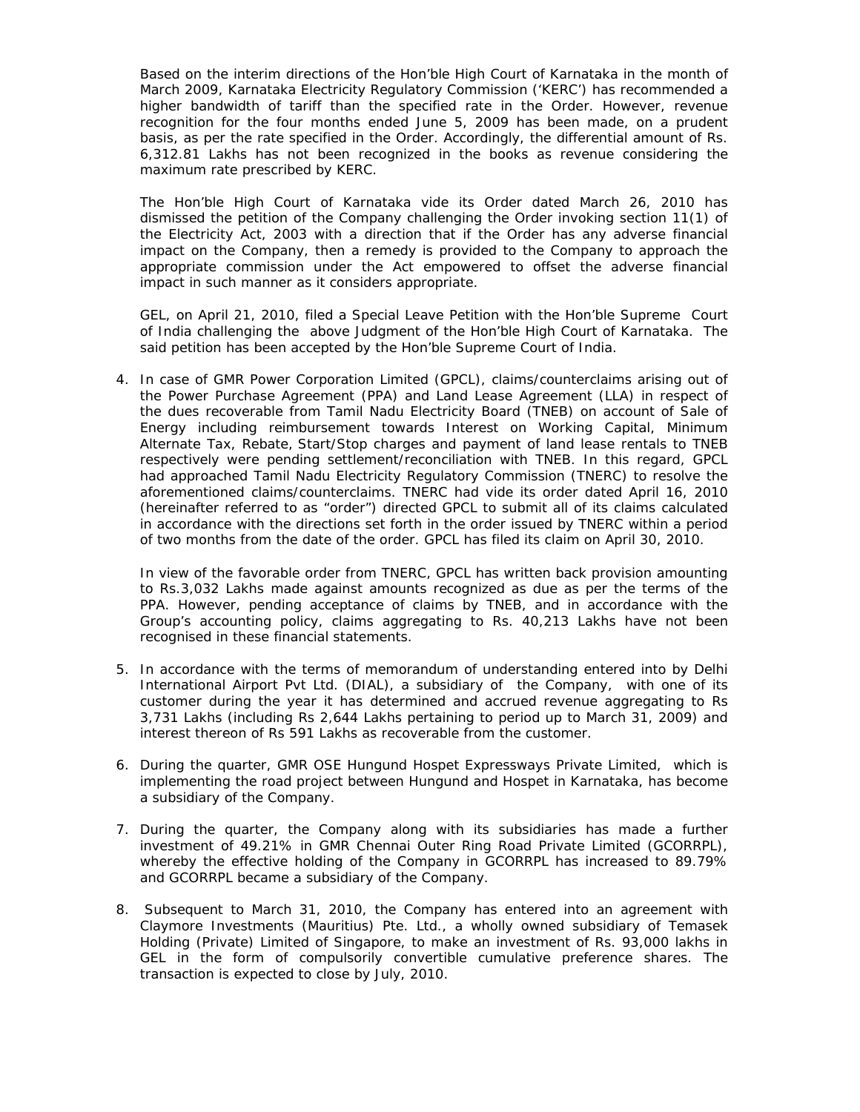Based on the interim directions of the Hon'ble High Court of Karnataka in the month of March 2009, Karnataka Electricity Regulatory Commission ('KERC') has recommended a higher bandwidth of tariff than the specified rate in the Order. However, revenue recognition for the four months ended June 5, 2009 has been made, on a prudent basis, as per the rate specified in the Order. Accordingly, the differential amount of Rs. 6,312.81 Lakhs has not been recognized in the books as revenue considering the maximum rate prescribed by KERC.

The Hon'ble High Court of Karnataka vide its Order dated March 26, 2010 has dismissed the petition of the Company challenging the Order invoking section 11(1) of the Electricity Act, 2003 with a direction that if the Order has any adverse financial impact on the Company, then a remedy is provided to the Company to approach the appropriate commission under the Act empowered to offset the adverse financial impact in such manner as it considers appropriate.

GEL, on April 21, 2010, filed a Special Leave Petition with the Hon'ble Supreme Court of India challenging the above Judgment of the Hon'ble High Court of Karnataka. The said petition has been accepted by the Hon'ble Supreme Court of India.

4. In case of GMR Power Corporation Limited (GPCL), claims/counterclaims arising out of the Power Purchase Agreement (PPA) and Land Lease Agreement (LLA) in respect of the dues recoverable from Tamil Nadu Electricity Board (TNEB) on account of Sale of Energy including reimbursement towards Interest on Working Capital, Minimum Alternate Tax, Rebate, Start/Stop charges and payment of land lease rentals to TNEB respectively were pending settlement/reconciliation with TNEB. In this regard, GPCL had approached Tamil Nadu Electricity Regulatory Commission (TNERC) to resolve the aforementioned claims/counterclaims. TNERC had vide its order dated April 16, 2010 (hereinafter referred to as "order") directed GPCL to submit all of its claims calculated in accordance with the directions set forth in the order issued by TNERC within a period of two months from the date of the order. GPCL has filed its claim on April 30, 2010.

In view of the favorable order from TNERC, GPCL has written back provision amounting to Rs.3,032 Lakhs made against amounts recognized as due as per the terms of the PPA. However, pending acceptance of claims by TNEB, and in accordance with the Group's accounting policy, claims aggregating to Rs. 40,213 Lakhs have not been recognised in these financial statements.

- 5. In accordance with the terms of memorandum of understanding entered into by Delhi International Airport Pvt Ltd. (DIAL), a subsidiary of the Company, with one of its customer during the year it has determined and accrued revenue aggregating to Rs 3,731 Lakhs (including Rs 2,644 Lakhs pertaining to period up to March 31, 2009) and interest thereon of Rs 591 Lakhs as recoverable from the customer.
- 6. During the quarter, GMR OSE Hungund Hospet Expressways Private Limited, which is implementing the road project between Hungund and Hospet in Karnataka, has become a subsidiary of the Company.
- 7. During the quarter, the Company along with its subsidiaries has made a further investment of 49.21% in GMR Chennai Outer Ring Road Private Limited (GCORRPL), whereby the effective holding of the Company in GCORRPL has increased to 89.79% and GCORRPL became a subsidiary of the Company.
- 8. Subsequent to March 31, 2010, the Company has entered into an agreement with Claymore Investments (Mauritius) Pte. Ltd., a wholly owned subsidiary of Temasek Holding (Private) Limited of Singapore, to make an investment of Rs. 93,000 lakhs in GEL in the form of compulsorily convertible cumulative preference shares. The transaction is expected to close by July, 2010.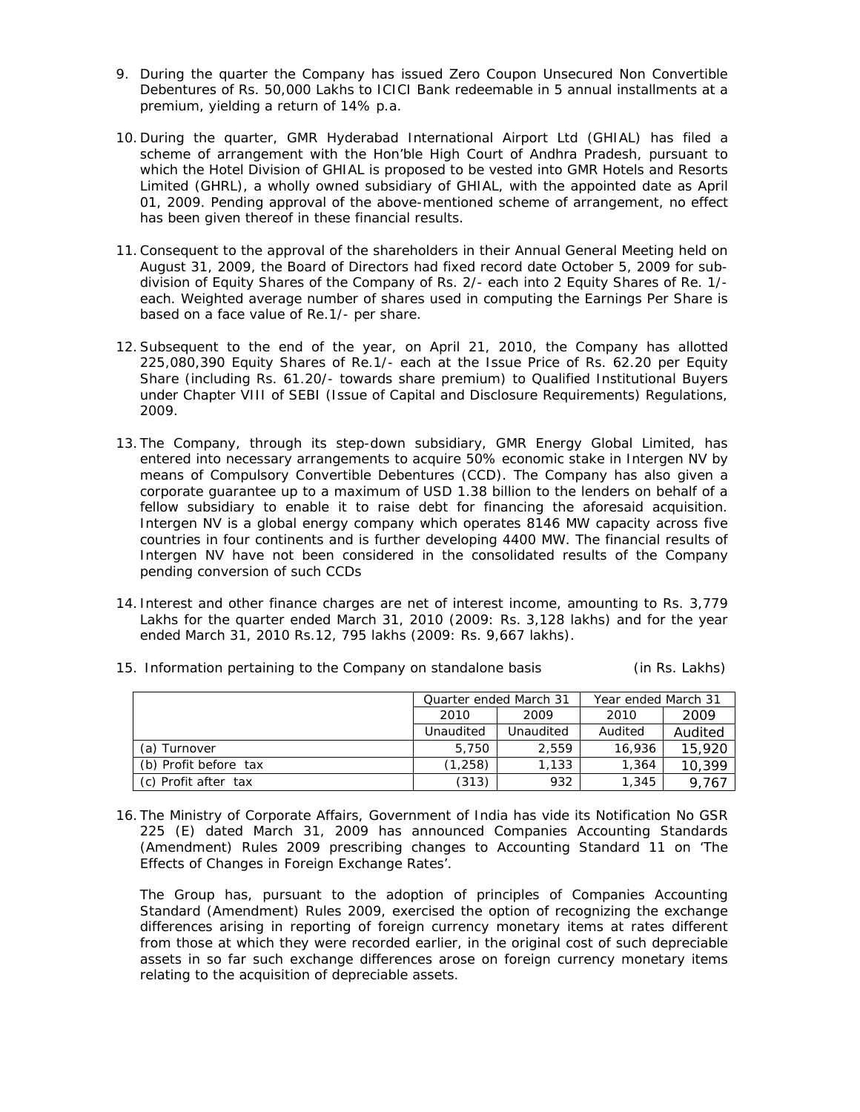- 9. During the quarter the Company has issued Zero Coupon Unsecured Non Convertible Debentures of Rs. 50,000 Lakhs to ICICI Bank redeemable in 5 annual installments at a premium, yielding a return of 14% p.a.
- 10. During the quarter, GMR Hyderabad International Airport Ltd (GHIAL) has filed a scheme of arrangement with the Hon'ble High Court of Andhra Pradesh, pursuant to which the Hotel Division of GHIAL is proposed to be vested into GMR Hotels and Resorts Limited (GHRL), a wholly owned subsidiary of GHIAL, with the appointed date as April 01, 2009. Pending approval of the above-mentioned scheme of arrangement, no effect has been given thereof in these financial results.
- 11.Consequent to the approval of the shareholders in their Annual General Meeting held on August 31, 2009, the Board of Directors had fixed record date October 5, 2009 for subdivision of Equity Shares of the Company of Rs. 2/- each into 2 Equity Shares of Re. 1/ each. Weighted average number of shares used in computing the Earnings Per Share is based on a face value of Re.1/- per share.
- 12.Subsequent to the end of the year, on April 21, 2010, the Company has allotted 225,080,390 Equity Shares of Re.1/- each at the Issue Price of Rs. 62.20 per Equity Share (including Rs. 61.20/- towards share premium) to Qualified Institutional Buyers under Chapter VIII of SEBI (Issue of Capital and Disclosure Requirements) Regulations, 2009.
- 13. The Company, through its step-down subsidiary, GMR Energy Global Limited, has entered into necessary arrangements to acquire 50% economic stake in Intergen NV by means of Compulsory Convertible Debentures (CCD). The Company has also given a corporate guarantee up to a maximum of USD 1.38 billion to the lenders on behalf of a fellow subsidiary to enable it to raise debt for financing the aforesaid acquisition. Intergen NV is a global energy company which operates 8146 MW capacity across five countries in four continents and is further developing 4400 MW. The financial results of Intergen NV have not been considered in the consolidated results of the Company pending conversion of such CCDs
- 14. Interest and other finance charges are net of interest income, amounting to Rs. 3,779 Lakhs for the quarter ended March 31, 2010 (2009: Rs. 3,128 lakhs) and for the year ended March 31, 2010 Rs.12, 795 lakhs (2009: Rs. 9,667 lakhs).

|                       | Quarter ended March 31 |           | Year ended March 31 |         |  |
|-----------------------|------------------------|-----------|---------------------|---------|--|
|                       | 2010                   | 2009      | 2010                | 2009    |  |
|                       | Unaudited              | Unaudited | Audited             | Audited |  |
| (a) Turnover          | 5,750                  | 2.559     | 16,936              | 15.920  |  |
| (b) Profit before tax | (1,258)                | 1,133     | 1,364               | 10,399  |  |
| (c) Profit after tax  | (313)                  | 932       | 1,345               | 9.767   |  |

15. Information pertaining to the Company on standalone basis (in Rs. Lakhs)

16. The Ministry of Corporate Affairs, Government of India has vide its Notification No GSR 225 (E) dated March 31, 2009 has announced Companies Accounting Standards (Amendment) Rules 2009 prescribing changes to Accounting Standard 11 on 'The Effects of Changes in Foreign Exchange Rates'.

The Group has, pursuant to the adoption of principles of Companies Accounting Standard (Amendment) Rules 2009, exercised the option of recognizing the exchange differences arising in reporting of foreign currency monetary items at rates different from those at which they were recorded earlier, in the original cost of such depreciable assets in so far such exchange differences arose on foreign currency monetary items relating to the acquisition of depreciable assets.